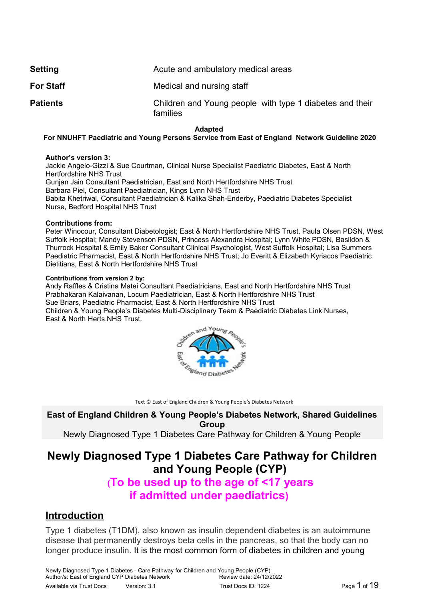| <b>Setting</b>   | Acute and ambulatory medical areas                                   |
|------------------|----------------------------------------------------------------------|
| <b>For Staff</b> | Medical and nursing staff                                            |
| <b>Patients</b>  | Children and Young people with type 1 diabetes and their<br>families |

#### **Adapted**

#### **For NNUHFT Paediatric and Young Persons Service from East of England Network Guideline 2020**

#### **Author's version 3:**

Jackie Angelo-Gizzi & Sue Courtman, Clinical Nurse Specialist Paediatric Diabetes, East & North Hertfordshire NHS Trust Gunjan Jain Consultant Paediatrician, East and North Hertfordshire NHS Trust Barbara Piel, Consultant Paediatrician, Kings Lynn NHS Trust Babita Khetriwal, Consultant Paediatrician & Kalika Shah-Enderby, Paediatric Diabetes Specialist Nurse, Bedford Hospital NHS Trust

#### **Contributions from:**

Peter Winocour, Consultant Diabetologist; East & North Hertfordshire NHS Trust, Paula Olsen PDSN, West Suffolk Hospital; Mandy Stevenson PDSN, Princess Alexandra Hospital; Lynn White PDSN, Basildon & Thurrock Hospital & Emily Baker Consultant Clinical Psychologist, West Suffolk Hospital; Lisa Summers Paediatric Pharmacist, East & North Hertfordshire NHS Trust; Jo Everitt & Elizabeth Kyriacos Paediatric Dietitians, East & North Hertfordshire NHS Trust

#### **Contributions from version 2 by:**

Andy Raffles & Cristina Matei Consultant Paediatricians, East and North Hertfordshire NHS Trust Prabhakaran Kalaivanan, Locum Paediatrician, East & North Hertfordshire NHS Trust Sue Briars, Paediatric Pharmacist, East & North Hertfordshire NHS Trust Children & Young People's Diabetes Multi-Disciplinary Team & Paediatric Diabetes Link Nurses, East & North Herts NHS Trust.



Text © East of England Children & Young People's Diabetes Network

**East of England Children & Young People's Diabetes Network, Shared Guidelines Group**

Newly Diagnosed Type 1 Diabetes Care Pathway for Children & Young People

## **Newly Diagnosed Type 1 Diabetes Care Pathway for Children and Young People (CYP)**

# **(To be used up to the age of <17 years if admitted under paediatrics)**

### **Introduction**

Type 1 diabetes (T1DM), also known as insulin dependent diabetes is an autoimmune disease that permanently destroys beta cells in the pancreas, so that the body can no longer produce insulin. It is the most common form of diabetes in children and young

Newly Diagnosed Type 1 Diabetes - Care Pathway for Children and Young People (CYP) Author/s: East of England CYP Diabetes Network Review date: 24/12/2022 Available via Trust Docs Version: 3.1 Trust Docs ID: 1224 Page 1 of 19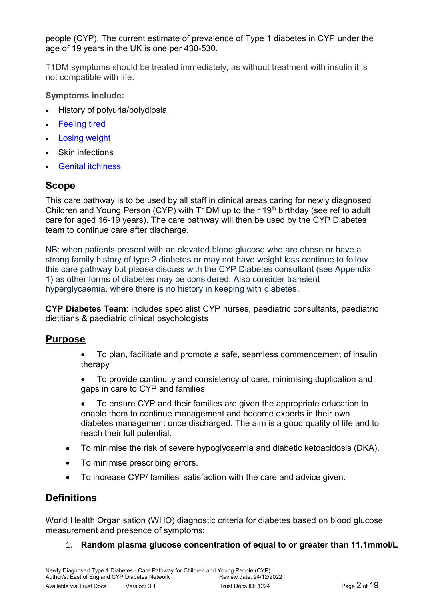people (CYP). The current estimate of prevalence of Type 1 diabetes in CYP under the age of 19 years in the UK is one per 430-530.

T1DM symptoms should be treated immediately, as without treatment with insulin it is not compatible with life.

**Symptoms include:**

- History of polyuria/polydipsia
- [Feeling tired](http://www.diabetes.co.uk/symptoms/extreme-tiredness.html)
- [Losing weight](http://www.diabetes.co.uk/symptoms/unexplained-weight-loss.html)
- Skin infections
- [Genital itchiness](http://www.diabetes.co.uk/symptoms/genital-itching.html)

## **Scope**

This care pathway is to be used by all staff in clinical areas caring for newly diagnosed Children and Young Person (CYP) with T1DM up to their  $19<sup>th</sup>$  birthday (see ref to adult care for aged 16-19 years). The care pathway will then be used by the CYP Diabetes team to continue care after discharge.

NB: when patients present with an elevated blood glucose who are obese or have a strong family history of type 2 diabetes or may not have weight loss continue to follow this care pathway but please discuss with the CYP Diabetes consultant (see Appendix 1) as other forms of diabetes may be considered. Also consider transient hyperglycaemia, where there is no history in keeping with diabetes.

**CYP Diabetes Team**: includes specialist CYP nurses, paediatric consultants, paediatric dietitians & paediatric clinical psychologists

## **Purpose**

- To plan, facilitate and promote a safe, seamless commencement of insulin therapy
- To provide continuity and consistency of care, minimising duplication and gaps in care to CYP and families
- To ensure CYP and their families are given the appropriate education to enable them to continue management and become experts in their own diabetes management once discharged. The aim is a good quality of life and to reach their full potential.
- To minimise the risk of severe hypoglycaemia and diabetic ketoacidosis (DKA).
- To minimise prescribing errors.
- To increase CYP/ families' satisfaction with the care and advice given.

## **Definitions**

World Health Organisation (WHO) diagnostic criteria for diabetes based on blood glucose measurement and presence of symptoms:

### 1. **Random plasma glucose concentration of equal to or greater than 11.1mmol/L**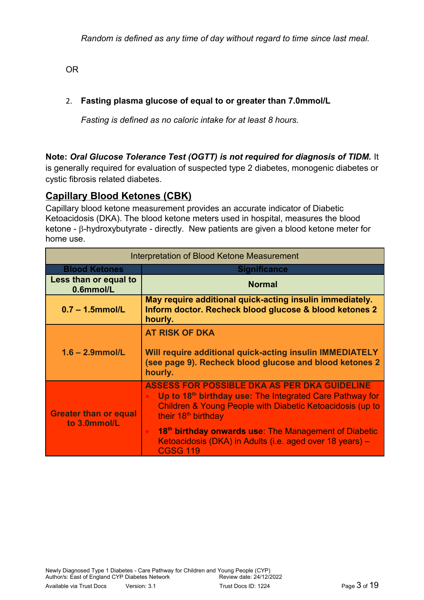OR

### 2. **Fasting plasma glucose of equal to or greater than 7.0mmol/L**

*Fasting is defined as no caloric intake for at least 8 hours.*

### **Note:** *Oral Glucose Tolerance Test (OGTT) is not required for diagnosis of TIDM.* It

is generally required for evaluation of suspected type 2 diabetes, monogenic diabetes or cystic fibrosis related diabetes.

## **Capillary Blood Ketones (CBK)**

Capillary blood ketone measurement provides an accurate indicator of Diabetic Ketoacidosis (DKA). The blood ketone meters used in hospital, measures the blood  $keta - \beta$ -hydroxybutyrate - directly. New patients are given a blood ketone meter for home use.

| Interpretation of Blood Ketone Measurement   |                                                                                                                                                                                                                                                                                                                                                                                 |  |  |
|----------------------------------------------|---------------------------------------------------------------------------------------------------------------------------------------------------------------------------------------------------------------------------------------------------------------------------------------------------------------------------------------------------------------------------------|--|--|
| <b>Blood Ketones</b>                         | <b>Significance</b>                                                                                                                                                                                                                                                                                                                                                             |  |  |
| Less than or equal to<br>0.6mmol/L           | <b>Normal</b>                                                                                                                                                                                                                                                                                                                                                                   |  |  |
| $0.7 - 1.5$ mmol/L                           | May require additional quick-acting insulin immediately.<br>Inform doctor. Recheck blood glucose & blood ketones 2<br>hourly.                                                                                                                                                                                                                                                   |  |  |
| $1.6 - 2.9$ mmol/L                           | <b>AT RISK OF DKA</b><br>Will require additional quick-acting insulin IMMEDIATELY<br>(see page 9). Recheck blood glucose and blood ketones 2<br>hourly.                                                                                                                                                                                                                         |  |  |
| <b>Greater than or equal</b><br>to 3.0mmol/L | <b>ASSESS FOR POSSIBLE DKA AS PER DKA GUIDELINE</b><br>Up to 18 <sup>th</sup> birthday use: The Integrated Care Pathway for<br>Children & Young People with Diabetic Ketoacidosis (up to<br>their 18 <sup>th</sup> birthday<br>18 <sup>th</sup> birthday onwards use: The Management of Diabetic<br>Ketoacidosis (DKA) in Adults (i.e. aged over 18 years) -<br><b>CGSG 119</b> |  |  |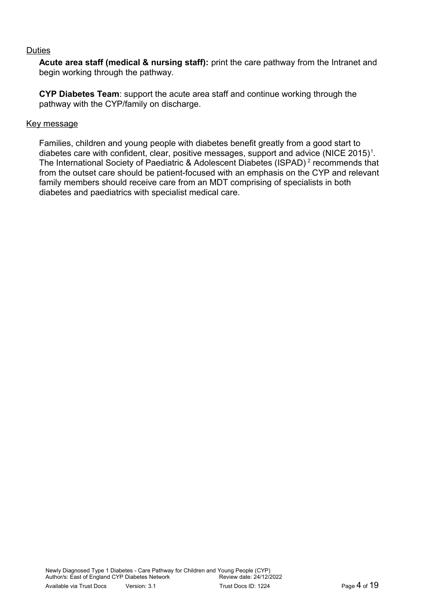#### **Duties**

**Acute area staff (medical & nursing staff):** print the care pathway from the Intranet and begin working through the pathway.

**CYP Diabetes Team**: support the acute area staff and continue working through the pathway with the CYP/family on discharge.

#### Key message

Families, children and young people with diabetes benefit greatly from a good start to diabetes care with confident, clear, positive messages, support and advice (NICE 2015)<sup>1</sup>. The International Society of Paediatric & Adolescent Diabetes (ISPAD)<sup>2</sup> recommends that from the outset care should be patient-focused with an emphasis on the CYP and relevant family members should receive care from an MDT comprising of specialists in both diabetes and paediatrics with specialist medical care.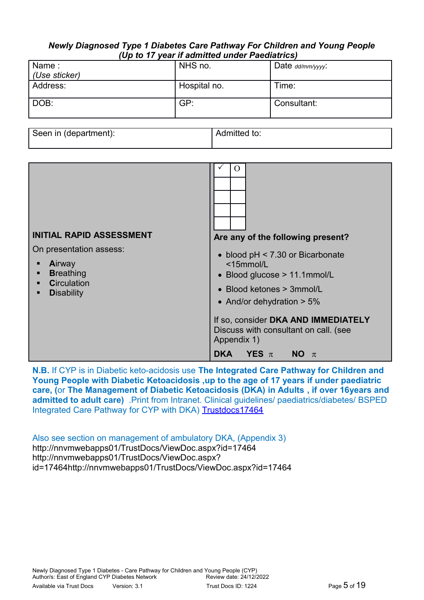#### *Newly Diagnosed Type 1 Diabetes Care Pathway For Children and Young People (Up to 17 year if admitted under Paediatrics)*

| Name:         | NHS no.      | Date $dd/mm/yyyy$ |  |  |
|---------------|--------------|-------------------|--|--|
| (Use sticker) |              |                   |  |  |
| Address:      | Hospital no. | Time:             |  |  |
| DOB:          | GP:          | Consultant:       |  |  |

| Seen in (department): | Admitted to: |
|-----------------------|--------------|
|                       |              |

| <b>INITIAL RAPID ASSESSMENT</b>                                                                                   | $\Omega$<br>Are any of the following present?                                                                                                                                                                                                                                    |
|-------------------------------------------------------------------------------------------------------------------|----------------------------------------------------------------------------------------------------------------------------------------------------------------------------------------------------------------------------------------------------------------------------------|
| On presentation assess:<br><b>Airway</b><br><b>Breathing</b><br>п<br><b>Circulation</b><br><b>Disability</b><br>п | • blood pH < 7.30 or Bicarbonate<br><15mmol/L<br>• Blood glucose > 11.1mmol/L<br>• Blood ketones > 3mmol/L<br>• And/or dehydration $> 5\%$<br>If so, consider DKA AND IMMEDIATELY<br>Discuss with consultant on call. (see<br>Appendix 1)<br>YES $\pi$<br><b>DKA</b><br>$NO \pi$ |

**N.B.** If CYP is in Diabetic keto-acidosis use **The Integrated Care Pathway for Children and Young People with Diabetic Ketoacidosis ,up to the age of 17 years if under paediatric care, (**or **The Management of Diabetic Ketoacidosis (DKA) in Adults , if over 16years and admitted to adult care)** .Print from Intranet. Clinical guidelines/ paediatrics/diabetes/ BSPED Integrated Care Pathway for CYP with DKA) [Trustdocs17464](http://trustdocs/ViewDoc.aspx?id=17464)

Also see section on management of ambulatory DKA, (Appendix 3) http://nnvmwebapps01/TrustDocs/ViewDoc.aspx?id=17464 http://nnvmwebapps01/TrustDocs/ViewDoc.aspx? id=17464http://nnvmwebapps01/TrustDocs/ViewDoc.aspx?id=17464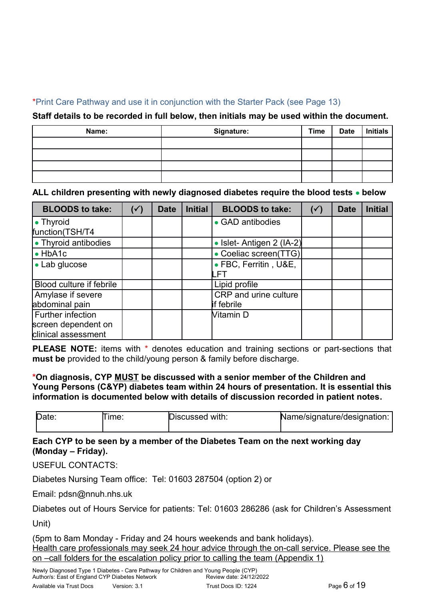### \*Print Care Pathway and use it in conjunction with the Starter Pack (see Page 13)

### **Staff details to be recorded in full below, then initials may be used within the document.**

| Name: | Signature: | <b>Time</b> | <b>Date</b> | Initials |
|-------|------------|-------------|-------------|----------|
|       |            |             |             |          |
|       |            |             |             |          |
|       |            |             |             |          |
|       |            |             |             |          |

### **ALL children presenting with newly diagnosed diabetes require the blood tests below**

| <b>BLOODS to take:</b>   | $(\checkmark)$ | <b>Date</b> | <b>Initial</b> | <b>BLOODS to take:</b>   | $(\checkmark)$ | <b>Date</b> | <b>Initial</b> |
|--------------------------|----------------|-------------|----------------|--------------------------|----------------|-------------|----------------|
| $\bullet$ Thyroid        |                |             |                | • GAD antibodies         |                |             |                |
| function(TSH/T4          |                |             |                |                          |                |             |                |
| • Thyroid antibodies     |                |             |                | • Islet-Antigen 2 (IA-2) |                |             |                |
| $\bullet$ HbA1c          |                |             |                | • Coeliac screen(TTG)    |                |             |                |
| • Lab glucose            |                |             |                | • FBC, Ferritin, U&E,    |                |             |                |
|                          |                |             |                |                          |                |             |                |
| Blood culture if febrile |                |             |                | Lipid profile            |                |             |                |
| Amylase if severe        |                |             |                | CRP and urine culture    |                |             |                |
| abdominal pain           |                |             |                | if febrile               |                |             |                |
| Further infection        |                |             |                | Vitamin D                |                |             |                |
| screen dependent on      |                |             |                |                          |                |             |                |
| clinical assessment      |                |             |                |                          |                |             |                |

**PLEASE NOTE:** items with \* denotes education and training sections or part-sections that **must be** provided to the child/young person & family before discharge.

### **\*On diagnosis, CYP MUST be discussed with a senior member of the Children and Young Persons (C&YP) diabetes team within 24 hours of presentation. It is essential this information is documented below with details of discussion recorded in patient notes.**

| Date: | lme. | Discussed with: | Name/signature/designation: |
|-------|------|-----------------|-----------------------------|
|       |      |                 |                             |

### **Each CYP to be seen by a member of the Diabetes Team on the next working day (Monday – Friday).**

USEFUL CONTACTS:

Diabetes Nursing Team office: Tel: 01603 287504 (option 2) or

Email: pdsn@nnuh.nhs.uk

Diabetes out of Hours Service for patients: Tel: 01603 286286 (ask for Children's Assessment Unit)

(5pm to 8am Monday - Friday and 24 hours weekends and bank holidays). Health care professionals may seek 24 hour advice through the on-call service. Please see the on –call folders for the escalation policy prior to calling the team (Appendix 1)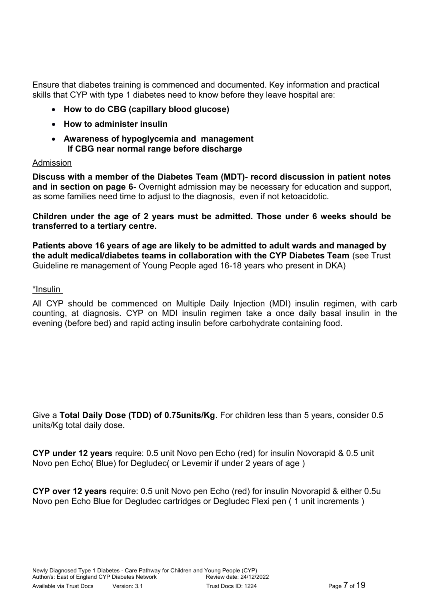Ensure that diabetes training is commenced and documented. Key information and practical skills that CYP with type 1 diabetes need to know before they leave hospital are:

- **How to do CBG (capillary blood glucose)**
- **How to administer insulin**
- **Awareness of hypoglycemia and management If CBG near normal range before discharge**

### Admission

**Discuss with a member of the Diabetes Team (MDT)- record discussion in patient notes and in section on page 6-** Overnight admission may be necessary for education and support, as some families need time to adjust to the diagnosis, even if not ketoacidotic.

**Children under the age of 2 years must be admitted. Those under 6 weeks should be transferred to a tertiary centre.**

**Patients above 16 years of age are likely to be admitted to adult wards and managed by the adult medical/diabetes teams in collaboration with the CYP Diabetes Team** (see Trust Guideline re management of Young People aged 16-18 years who present in DKA)

\*Insulin

All CYP should be commenced on Multiple Daily Injection (MDI) insulin regimen, with carb counting, at diagnosis. CYP on MDI insulin regimen take a once daily basal insulin in the evening (before bed) and rapid acting insulin before carbohydrate containing food.

Give a **Total Daily Dose (TDD) of 0.75units/Kg**. For children less than 5 years, consider 0.5 units/Kg total daily dose.

**CYP under 12 years** require: 0.5 unit Novo pen Echo (red) for insulin Novorapid & 0.5 unit Novo pen Echo( Blue) for Degludec( or Levemir if under 2 years of age )

**CYP over 12 years** require: 0.5 unit Novo pen Echo (red) for insulin Novorapid & either 0.5u Novo pen Echo Blue for Degludec cartridges or Degludec Flexi pen ( 1 unit increments )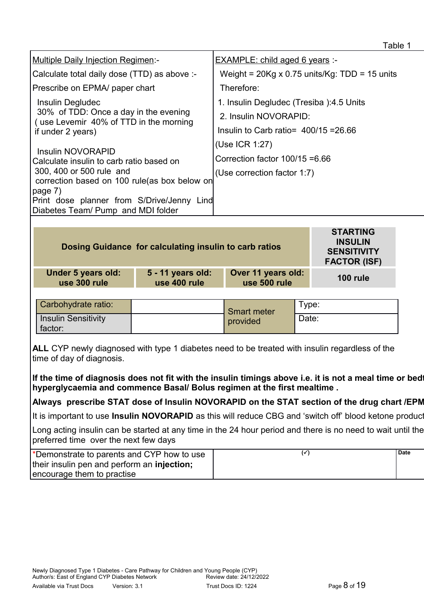|                                                                                           | Table 1                                              |
|-------------------------------------------------------------------------------------------|------------------------------------------------------|
| <b>Multiple Daily Injection Regimen:-</b>                                                 | <b>EXAMPLE: child aged 6 years:</b>                  |
| Calculate total daily dose (TTD) as above :-                                              | Weight = $20Kg \times 0.75$ units/Kg: TDD = 15 units |
| Prescribe on EPMA/ paper chart                                                            | Therefore:                                           |
| Insulin Degludec                                                                          | 1. Insulin Degludec (Tresiba): 4.5 Units             |
| 30% of TDD: Once a day in the evening<br>(use Levemir 40% of TTD in the morning           | 2. Insulin NOVORAPID:                                |
| if under 2 years)                                                                         | Insulin to Carb ratio = $400/15 = 26.66$             |
| Insulin NOVORAPID<br>Calculate insulin to carb ratio based on<br>300, 400 or 500 rule and | (Use ICR 1:27)                                       |
|                                                                                           | Correction factor $100/15 = 6.66$                    |
|                                                                                           | (Use correction factor 1:7)                          |
| correction based on 100 rule(as box below on<br>page 7)                                   |                                                      |
| Print dose planner from S/Drive/Jenny<br>Lind                                             |                                                      |
| Diabetes Team/ Pump and MDI folder                                                        |                                                      |
|                                                                                           |                                                      |

| Dosing Guidance for calculating insulin to carb ratios |                                   |                                    |       | <b>STARTING</b><br><b>INSULIN</b><br><b>SENSITIVITY</b><br><b>FACTOR (ISF)</b> |
|--------------------------------------------------------|-----------------------------------|------------------------------------|-------|--------------------------------------------------------------------------------|
| <b>Under 5 years old:</b><br>use 300 rule              | 5 - 11 years old:<br>use 400 rule | Over 11 years old:<br>use 500 rule |       | <b>100 rule</b>                                                                |
|                                                        |                                   |                                    |       |                                                                                |
| Carbohydrate ratio:                                    |                                   | <b>Smart meter</b>                 | Type: |                                                                                |
| <b>Insulin Sensitivity</b>                             |                                   | provided                           | Date: |                                                                                |

**ALL** CYP newly diagnosed with type 1 diabetes need to be treated with insulin regardless of the time of day of diagnosis.

If the time of diagnosis does not fit with the insulin timings above i.e. it is not a meal time or bedt **hyperglycaemia and commence Basal/ Bolus regimen at the first mealtime .**

# Always prescribe STAT dose of Insulin NOVORAPID on the STAT section of the drug chart /EPM

It is important to use Insulin NOVORAPID as this will reduce CBG and 'switch off' blood ketone product

Long acting insulin can be started at any time in the 24 hour period and there is no need to wait until the preferred time over the next few days

| *Demonstrate to parents and CYP how to use          | <b>Date</b> |
|-----------------------------------------------------|-------------|
| their insulin pen and perform an <b>injection</b> ; |             |
| encourage them to practise                          |             |

factor: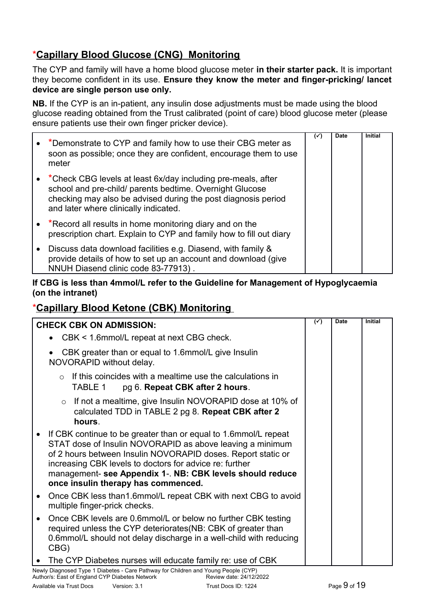# \***Capillary Blood Glucose (CNG) Monitoring**

The CYP and family will have a home blood glucose meter **in their starter pack.** It is important they become confident in its use. **Ensure they know the meter and finger-pricking/ lancet device are single person use only.**

**NB.** If the CYP is an in-patient, any insulin dose adjustments must be made using the blood glucose reading obtained from the Trust calibrated (point of care) blood glucose meter (please ensure patients use their own finger pricker device).

| *Demonstrate to CYP and family how to use their CBG meter as<br>soon as possible; once they are confident, encourage them to use<br>meter                                                                                          | $(\checkmark)$ | <b>Date</b> | <b>Initial</b> |  |
|------------------------------------------------------------------------------------------------------------------------------------------------------------------------------------------------------------------------------------|----------------|-------------|----------------|--|
| *Check CBG levels at least 6x/day including pre-meals, after<br>school and pre-child/ parents bedtime. Overnight Glucose<br>checking may also be advised during the post diagnosis period<br>and later where clinically indicated. |                |             |                |  |
| *Record all results in home monitoring diary and on the<br>prescription chart. Explain to CYP and family how to fill out diary                                                                                                     |                |             |                |  |
| Discuss data download facilities e.g. Diasend, with family &<br>provide details of how to set up an account and download (give<br>NNUH Diasend clinic code 83-77913).                                                              |                |             |                |  |

### **If CBG is less than 4mmol/L refer to the Guideline for Management of Hypoglycaemia (on the intranet)**

## \* **Capillary Blood Ketone (CBK) Monitoring**

| <b>CHECK CBK ON ADMISSION:</b>                                                                                                                                                                                                                                                                                                                                | $(\checkmark)$ | Date | <b>Initial</b> |
|---------------------------------------------------------------------------------------------------------------------------------------------------------------------------------------------------------------------------------------------------------------------------------------------------------------------------------------------------------------|----------------|------|----------------|
| CBK < 1.6mmol/L repeat at next CBG check.                                                                                                                                                                                                                                                                                                                     |                |      |                |
| CBK greater than or equal to 1.6mmol/L give Insulin<br>NOVORAPID without delay.                                                                                                                                                                                                                                                                               |                |      |                |
| $\circ$ If this coincides with a mealtime use the calculations in<br>TABLE 1<br>pg 6. Repeat CBK after 2 hours.                                                                                                                                                                                                                                               |                |      |                |
| If not a mealtime, give Insulin NOVORAPID dose at 10% of<br>$\circ$<br>calculated TDD in TABLE 2 pg 8. Repeat CBK after 2<br>hours.                                                                                                                                                                                                                           |                |      |                |
| • If CBK continue to be greater than or equal to 1.6mmol/L repeat<br>STAT dose of Insulin NOVORAPID as above leaving a minimum<br>of 2 hours between Insulin NOVORAPID doses. Report static or<br>increasing CBK levels to doctors for advice re: further<br>management- see Appendix 1-. NB: CBK levels should reduce<br>once insulin therapy has commenced. |                |      |                |
| Once CBK less than 1.6mmol/L repeat CBK with next CBG to avoid<br>$\bullet$<br>multiple finger-prick checks.                                                                                                                                                                                                                                                  |                |      |                |
| Once CBK levels are 0.6mmol/L or below no further CBK testing<br>required unless the CYP deteriorates (NB: CBK of greater than<br>0.6mmol/L should not delay discharge in a well-child with reducing<br>CBG)                                                                                                                                                  |                |      |                |
| The CYP Diabetes nurses will educate family re: use of CBK                                                                                                                                                                                                                                                                                                    |                |      |                |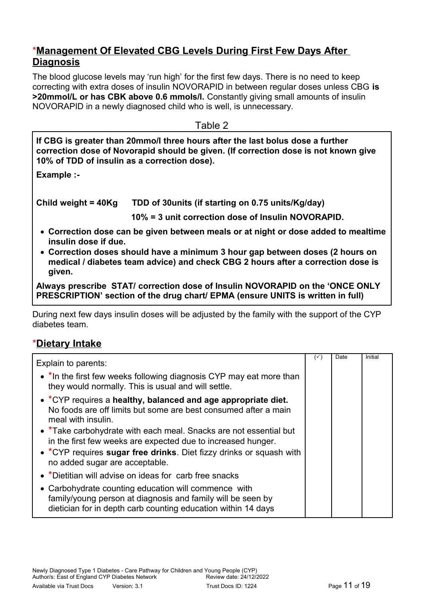## \***Management Of Elevated CBG Levels During First Few Days After Diagnosis**

The blood glucose levels may 'run high' for the first few days. There is no need to keep correcting with extra doses of insulin NOVORAPID in between regular doses unless CBG **is >20mmol/L or has CBK above 0.6 mmols/l.** Constantly giving small amounts of insulin NOVORAPID in a newly diagnosed child who is well, is unnecessary.

Table 2

**If CBG is greater than 20mmo/l three hours after the last bolus dose a further correction dose of Novorapid should be given. (If correction dose is not known give 10% of TDD of insulin as a correction dose).**

**Example :-**

**Child weight = 40Kg TDD of 30units (if starting on 0.75 units/Kg/day)** 

 **10% = 3 unit correction dose of Insulin NOVORAPID.** 

- **Correction dose can be given between meals or at night or dose added to mealtime insulin dose if due.**
- **Correction doses should have a minimum 3 hour gap between doses (2 hours on medical / diabetes team advice) and check CBG 2 hours after a correction dose is given.**

**Always prescribe STAT/ correction dose of Insulin NOVORAPID on the 'ONCE ONLY PRESCRIPTION' section of the drug chart/ EPMA (ensure UNITS is written in full)**

During next few days insulin doses will be adjusted by the family with the support of the CYP diabetes team.

## \***Dietary Intake**

| Explain to parents:                                                                                                                                                                                                                        | $(\check{ }')$ | Date | Initial |
|--------------------------------------------------------------------------------------------------------------------------------------------------------------------------------------------------------------------------------------------|----------------|------|---------|
| • *In the first few weeks following diagnosis CYP may eat more than<br>they would normally. This is usual and will settle.                                                                                                                 |                |      |         |
| • *CYP requires a healthy, balanced and age appropriate diet.<br>No foods are off limits but some are best consumed after a main<br>meal with insulin.                                                                                     |                |      |         |
| • *Take carbohydrate with each meal. Snacks are not essential but<br>in the first few weeks are expected due to increased hunger.<br>• *CYP requires sugar free drinks. Diet fizzy drinks or squash with<br>no added sugar are acceptable. |                |      |         |
| • *Dietitian will advise on ideas for carb free snacks                                                                                                                                                                                     |                |      |         |
| • Carbohydrate counting education will commence with<br>family/young person at diagnosis and family will be seen by<br>dietician for in depth carb counting education within 14 days                                                       |                |      |         |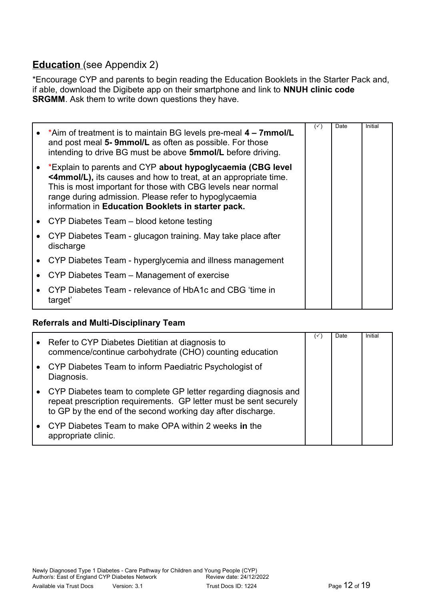## **Education** (see Appendix 2)

\*Encourage CYP and parents to begin reading the Education Booklets in the Starter Pack and, if able, download the Digibete app on their smartphone and link to **NNUH clinic code SRGMM**. Ask them to write down questions they have.

| • *Aim of treatment is to maintain BG levels pre-meal $4 - 7$ mmol/L<br>and post meal 5-9mmol/L as often as possible. For those<br>intending to drive BG must be above 5mmol/L before driving.                                                                                                               | $(\check{ }')$ | Date | Initial |
|--------------------------------------------------------------------------------------------------------------------------------------------------------------------------------------------------------------------------------------------------------------------------------------------------------------|----------------|------|---------|
| *Explain to parents and CYP about hypoglycaemia (CBG level<br><4mmol/L), its causes and how to treat, at an appropriate time.<br>This is most important for those with CBG levels near normal<br>range during admission. Please refer to hypoglycaemia<br>information in Education Booklets in starter pack. |                |      |         |
| • CYP Diabetes Team $-$ blood ketone testing                                                                                                                                                                                                                                                                 |                |      |         |
| CYP Diabetes Team - glucagon training. May take place after<br>discharge                                                                                                                                                                                                                                     |                |      |         |
| • CYP Diabetes Team - hyperglycemia and illness management                                                                                                                                                                                                                                                   |                |      |         |
| CYP Diabetes Team – Management of exercise                                                                                                                                                                                                                                                                   |                |      |         |
| CYP Diabetes Team - relevance of HbA1c and CBG 'time in<br>target'                                                                                                                                                                                                                                           |                |      |         |

### **Referrals and Multi-Disciplinary Team**

| • Refer to CYP Diabetes Dietitian at diagnosis to<br>commence/continue carbohydrate (CHO) counting education                                                                                          | $\checkmark$ | Date | Initial |
|-------------------------------------------------------------------------------------------------------------------------------------------------------------------------------------------------------|--------------|------|---------|
| • CYP Diabetes Team to inform Paediatric Psychologist of<br>Diagnosis.                                                                                                                                |              |      |         |
| • CYP Diabetes team to complete GP letter regarding diagnosis and<br>repeat prescription requirements. GP letter must be sent securely<br>to GP by the end of the second working day after discharge. |              |      |         |
| • CYP Diabetes Team to make OPA within 2 weeks in the<br>appropriate clinic.                                                                                                                          |              |      |         |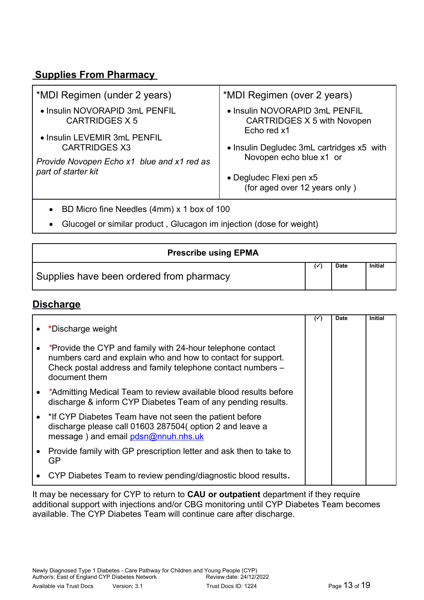## **Supplies From Pharmacy**

| *MDI Regimen (under 2 years)                         | *MDI Regimen (over 2 years)                                          |
|------------------------------------------------------|----------------------------------------------------------------------|
| • Insulin NOVORAPID 3mL PENFIL<br>CARTRIDGES X 5     | • Insulin NOVORAPID 3mL PENFIL<br><b>CARTRIDGES X 5 with Novopen</b> |
| • Insulin LEVEMIR 3mL PENFIL<br><b>CARTRIDGES X3</b> | Echo red x1<br>• Insulin Degludec 3mL cartridges x5 with             |
| Provide Novopen Echo x1 blue and x1 red as           | Novopen echo blue x1 or                                              |
| part of starter kit                                  | • Degludec Flexi pen x5<br>(for aged over 12 years only)             |
|                                                      |                                                                      |

- BD Micro fine Needles (4mm) x 1 box of 100
- Glucogel or similar product , Glucagon im injection (dose for weight)

| <b>Prescribe using EPMA</b>              |             |         |
|------------------------------------------|-------------|---------|
| Supplies have been ordered from pharmacy | <b>Date</b> | Initial |

# **Discharge**

|           |                                                                                                                                                                                                            | $(\check{ }')$ | <b>Date</b> | <b>Initial</b> |  |
|-----------|------------------------------------------------------------------------------------------------------------------------------------------------------------------------------------------------------------|----------------|-------------|----------------|--|
|           | *Discharge weight                                                                                                                                                                                          |                |             |                |  |
| $\bullet$ | *Provide the CYP and family with 24-hour telephone contact<br>numbers card and explain who and how to contact for support.<br>Check postal address and family telephone contact numbers -<br>document them |                |             |                |  |
|           | • *Admitting Medical Team to review available blood results before<br>discharge & inform CYP Diabetes Team of any pending results.                                                                         |                |             |                |  |
|           | • * If CYP Diabetes Team have not seen the patient before<br>discharge please call 01603 287504( option 2 and leave a<br>message) and email pdsn@nnuh.nhs.uk                                               |                |             |                |  |
|           | • Provide family with GP prescription letter and ask then to take to<br>GP.                                                                                                                                |                |             |                |  |
|           | CYP Diabetes Team to review pending/diagnostic blood results.                                                                                                                                              |                |             |                |  |

It may be necessary for CYP to return to **CAU or outpatient** department if they require additional support with injections and/or CBG monitoring until CYP Diabetes Team becomes available. The CYP Diabetes Team will continue care after discharge.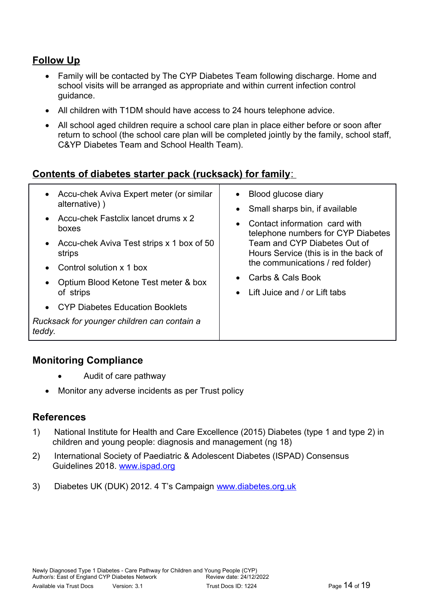## **Follow Up**

- Family will be contacted by The CYP Diabetes Team following discharge. Home and school visits will be arranged as appropriate and within current infection control guidance.
- All children with T1DM should have access to 24 hours telephone advice.
- All school aged children require a school care plan in place either before or soon after return to school (the school care plan will be completed jointly by the family, school staff, C&YP Diabetes Team and School Health Team).

## **Contents of diabetes starter pack (rucksack) for family**:

| Accu-chek Aviva Expert meter (or similar<br>alternative))<br>Accu-chek Fastclix lancet drums x 2<br>boxes<br>Accu-chek Aviva Test strips x 1 box of 50<br>strips<br>Control solution x 1 box<br>Optium Blood Ketone Test meter & box<br>of strips<br><b>CYP Diabetes Education Booklets</b><br>Rucksack for younger children can contain a<br>teddy. | Blood glucose diary<br>• Small sharps bin, if available<br>Contact information card with<br>$\bullet$<br>telephone numbers for CYP Diabetes<br>Team and CYP Diabetes Out of<br>Hours Service (this is in the back of<br>the communications / red folder)<br>Carbs & Cals Book<br>Lift Juice and / or Lift tabs<br>$\bullet$ |
|------------------------------------------------------------------------------------------------------------------------------------------------------------------------------------------------------------------------------------------------------------------------------------------------------------------------------------------------------|-----------------------------------------------------------------------------------------------------------------------------------------------------------------------------------------------------------------------------------------------------------------------------------------------------------------------------|
|------------------------------------------------------------------------------------------------------------------------------------------------------------------------------------------------------------------------------------------------------------------------------------------------------------------------------------------------------|-----------------------------------------------------------------------------------------------------------------------------------------------------------------------------------------------------------------------------------------------------------------------------------------------------------------------------|

## **Monitoring Compliance**

- Audit of care pathway
- Monitor any adverse incidents as per Trust policy

### **References**

- 1) National Institute for Health and Care Excellence (2015) Diabetes (type 1 and type 2) in children and young people: diagnosis and management (ng 18)
- 2) International Society of Paediatric & Adolescent Diabetes (ISPAD) Consensus Guidelines 2018. [www.ispad.org](http://www.ispad.org/)
- 3) Diabetes UK (DUK) 2012. 4 T's Campaign [www.diabetes.org.uk](http://www.diabetes.org.uk/)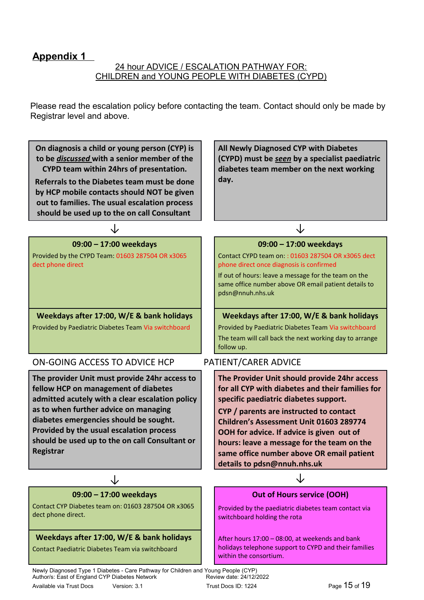## **Appendix 1**

#### 24 hour ADVICE / ESCALATION PATHWAY FOR: CHILDREN and YOUNG PEOPLE WITH DIABETES (CYPD)

Please read the escalation policy before contacting the team. Contact should only be made by Registrar level and above.

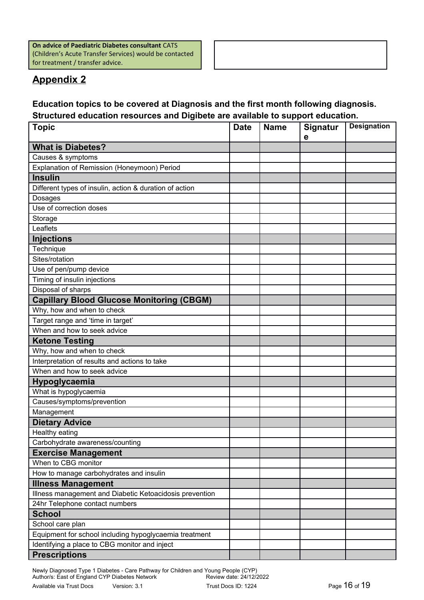**On advice of Paediatric Diabetes consultant** CATS (Children's Acute Transfer Services) would be contacted for treatment / transfer advice.

# **Appendix 2**

### **Education topics to be covered at Diagnosis and the first month following diagnosis. Structured education resources and Digibete are available to support education.**

 $\sqrt{ }$ 

| <b>Topic</b>                                            | <b>Date</b> | <b>Name</b> | Signatur<br>e | <b>Designation</b> |  |
|---------------------------------------------------------|-------------|-------------|---------------|--------------------|--|
| <b>What is Diabetes?</b>                                |             |             |               |                    |  |
| Causes & symptoms                                       |             |             |               |                    |  |
| Explanation of Remission (Honeymoon) Period             |             |             |               |                    |  |
| <b>Insulin</b>                                          |             |             |               |                    |  |
| Different types of insulin, action & duration of action |             |             |               |                    |  |
| Dosages                                                 |             |             |               |                    |  |
| Use of correction doses                                 |             |             |               |                    |  |
| Storage                                                 |             |             |               |                    |  |
| Leaflets                                                |             |             |               |                    |  |
| <b>Injections</b>                                       |             |             |               |                    |  |
| Technique                                               |             |             |               |                    |  |
| Sites/rotation                                          |             |             |               |                    |  |
| Use of pen/pump device                                  |             |             |               |                    |  |
| Timing of insulin injections                            |             |             |               |                    |  |
| Disposal of sharps                                      |             |             |               |                    |  |
| <b>Capillary Blood Glucose Monitoring (CBGM)</b>        |             |             |               |                    |  |
| Why, how and when to check                              |             |             |               |                    |  |
| Target range and 'time in target'                       |             |             |               |                    |  |
| When and how to seek advice                             |             |             |               |                    |  |
| <b>Ketone Testing</b>                                   |             |             |               |                    |  |
| Why, how and when to check                              |             |             |               |                    |  |
| Interpretation of results and actions to take           |             |             |               |                    |  |
| When and how to seek advice                             |             |             |               |                    |  |
| Hypoglycaemia                                           |             |             |               |                    |  |
| What is hypoglycaemia                                   |             |             |               |                    |  |
| Causes/symptoms/prevention                              |             |             |               |                    |  |
| Management                                              |             |             |               |                    |  |
| <b>Dietary Advice</b>                                   |             |             |               |                    |  |
| Healthy eating                                          |             |             |               |                    |  |
| Carbohydrate awareness/counting                         |             |             |               |                    |  |
| <b>Exercise Management</b>                              |             |             |               |                    |  |
| When to CBG monitor                                     |             |             |               |                    |  |
| How to manage carbohydrates and insulin                 |             |             |               |                    |  |
| <b>Illness Management</b>                               |             |             |               |                    |  |
| Illness management and Diabetic Ketoacidosis prevention |             |             |               |                    |  |
| 24hr Telephone contact numbers                          |             |             |               |                    |  |
| <b>School</b>                                           |             |             |               |                    |  |
| School care plan                                        |             |             |               |                    |  |
| Equipment for school including hypoglycaemia treatment  |             |             |               |                    |  |
| Identifying a place to CBG monitor and inject           |             |             |               |                    |  |
| <b>Prescriptions</b>                                    |             |             |               |                    |  |

Newly Diagnosed Type 1 Diabetes - Care Pathway for Children and Young People (CYP) Author/s: East of England CYP Diabetes Network **Review date: 24/12/2022** Available via Trust Docs Version: 3.1 Trust Docs ID: 1224 Page 16 of 19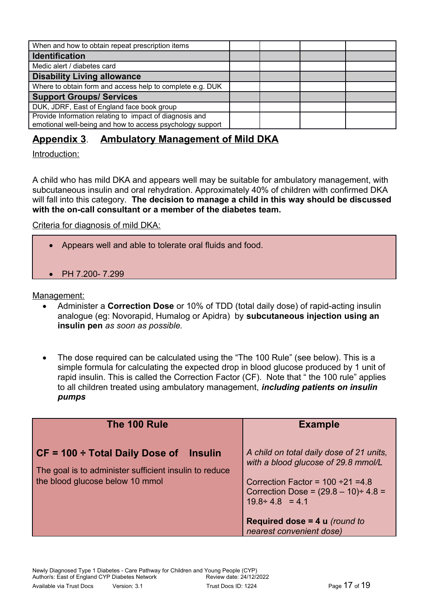| When and how to obtain repeat prescription items                                                                     |  |  |
|----------------------------------------------------------------------------------------------------------------------|--|--|
| <b>Identification</b>                                                                                                |  |  |
| Medic alert / diabetes card                                                                                          |  |  |
| <b>Disability Living allowance</b>                                                                                   |  |  |
| Where to obtain form and access help to complete e.g. DUK                                                            |  |  |
| <b>Support Groups/ Services</b>                                                                                      |  |  |
| DUK, JDRF, East of England face book group                                                                           |  |  |
| Provide Information relating to impact of diagnosis and<br>emotional well-being and how to access psychology support |  |  |

# **Appendix 3**. **Ambulatory Management of Mild DKA**

Introduction:

A child who has mild DKA and appears well may be suitable for ambulatory management, with subcutaneous insulin and oral rehydration. Approximately 40% of children with confirmed DKA will fall into this category. **The decision to manage a child in this way should be discussed with the on-call consultant or a member of the diabetes team.** 

Criteria for diagnosis of mild DKA:

- Appears well and able to tolerate oral fluids and food.
- PH 7.200- 7.299

Management:

- Administer a **Correction Dose** or 10% of TDD (total daily dose) of rapid-acting insulin analogue (eg: Novorapid, Humalog or Apidra) by **subcutaneous injection using an insulin pen** *as soon as possible.*
- The dose required can be calculated using the "The 100 Rule" (see below). This is a simple formula for calculating the expected drop in blood glucose produced by 1 unit of rapid insulin. This is called the Correction Factor (CF). Note that " the 100 rule" applies to all children treated using ambulatory management, *including patients on insulin pumps*

| The 100 Rule                                                                                                                                          | <b>Example</b>                                                                                                                                                                                    |  |
|-------------------------------------------------------------------------------------------------------------------------------------------------------|---------------------------------------------------------------------------------------------------------------------------------------------------------------------------------------------------|--|
| $\vert$ CF = 100 ÷ Total Daily Dose of<br><b>Insulin</b><br>The goal is to administer sufficient insulin to reduce<br>the blood glucose below 10 mmol | A child on total daily dose of 21 units,<br>with a blood glucose of 29.8 mmol/L<br>Correction Factor = $100 \div 21 = 4.8$<br>Correction Dose = $(29.8 - 10) \div 4.8 =$<br>$19.8 \div 4.8 = 4.1$ |  |
|                                                                                                                                                       | Required dose = $4 u$ (round to                                                                                                                                                                   |  |
|                                                                                                                                                       | nearest convenient dose)                                                                                                                                                                          |  |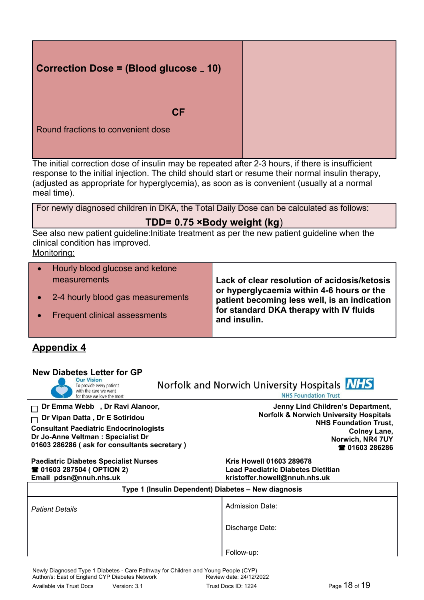| Correction Dose = (Blood glucose <sub>-</sub> 10) |  |
|---------------------------------------------------|--|
| <b>CF</b><br>Round fractions to convenient dose   |  |

The initial correction dose of insulin may be repeated after 2-3 hours, if there is insufficient response to the initial injection. The child should start or resume their normal insulin therapy, (adjusted as appropriate for hyperglycemia), as soon as is convenient (usually at a normal meal time).

| For newly diagnosed children in DKA, the Total Daily Dose can be calculated as follows: |  |
|-----------------------------------------------------------------------------------------|--|
|                                                                                         |  |

### **TDD= 0.75 ×Body weight (kg**)

See also new patient guideline:Initiate treatment as per the new patient guideline when the clinical condition has improved.

Monitoring:

| Hourly blood glucose and ketone      |                                                                                           |
|--------------------------------------|-------------------------------------------------------------------------------------------|
| measurements                         | Lack of clear resolution of acidosis/ketosis<br>or hyperglycaemia within 4-6 hours or the |
| • 2-4 hourly blood gas measurements  | patient becoming less well, is an indication                                              |
| <b>Frequent clinical assessments</b> | for standard DKA therapy with IV fluids<br>and insulin.                                   |
|                                      |                                                                                           |

## **Appendix 4**

| <b>New Diabetes Letter for GP</b><br><b>Our Vision</b><br>To provide every patient<br>with the care we want<br>for those we love the most                                                               | Norfolk and Norwich University Hospitals <b>NHS</b><br><b>NHS Foundation Trust</b>                                                                                                  |  |  |  |
|---------------------------------------------------------------------------------------------------------------------------------------------------------------------------------------------------------|-------------------------------------------------------------------------------------------------------------------------------------------------------------------------------------|--|--|--|
| Dr Emma Webb, Dr Ravi Alanoor,<br>Dr Vipan Datta, Dr E Sotiridou<br><b>Consultant Paediatric Endocrinologists</b><br>Dr Jo-Anne Veltman : Specialist Dr<br>01603 286286 (ask for consultants secretary) | Jenny Lind Children's Department,<br><b>Norfolk &amp; Norwich University Hospitals</b><br><b>NHS Foundation Trust,</b><br><b>Colney Lane,</b><br>Norwich, NR4 7UY<br>☎ 01603 286286 |  |  |  |
| <b>Paediatric Diabetes Specialist Nurses</b><br><b>☎ 01603 287504 ( OPTION 2)</b><br>Email pdsn@nnuh.nhs.uk                                                                                             | <b>Kris Howell 01603 289678</b><br>Lead Paediatric Diabetes Dietitian<br>kristoffer.howell@nnuh.nhs.uk                                                                              |  |  |  |
| Type 1 (Insulin Dependent) Diabetes - New diagnosis                                                                                                                                                     |                                                                                                                                                                                     |  |  |  |
| <b>Patient Details</b>                                                                                                                                                                                  | <b>Admission Date:</b>                                                                                                                                                              |  |  |  |
|                                                                                                                                                                                                         | Discharge Date:                                                                                                                                                                     |  |  |  |
|                                                                                                                                                                                                         | Follow-up:                                                                                                                                                                          |  |  |  |
| Newly Diagnosed Type 1 Diabetes - Care Pathway for Children and Young People (CYP)<br>Author/s: East of England CYP Diabetes Network                                                                    | Review date: 24/12/2022                                                                                                                                                             |  |  |  |